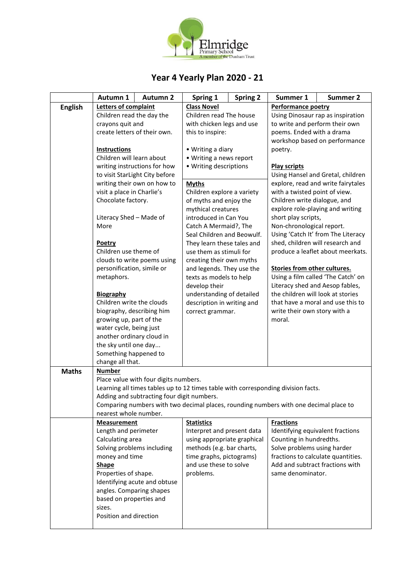

## **Year 4 Yearly Plan 2020 - 21**

|                | Autumn 1                                                                                                                                                                                                                            | <b>Autumn 2</b>                            | Spring 1                                                                                                                                                                                                                                  | <b>Spring 2</b> | Summer 1                                                                                                                                                                                                        | <b>Summer 2</b>                   |  |
|----------------|-------------------------------------------------------------------------------------------------------------------------------------------------------------------------------------------------------------------------------------|--------------------------------------------|-------------------------------------------------------------------------------------------------------------------------------------------------------------------------------------------------------------------------------------------|-----------------|-----------------------------------------------------------------------------------------------------------------------------------------------------------------------------------------------------------------|-----------------------------------|--|
| <b>English</b> | Letters of complaint                                                                                                                                                                                                                |                                            | <b>Class Novel</b>                                                                                                                                                                                                                        |                 | Performance poetry                                                                                                                                                                                              |                                   |  |
|                | Children read the day the                                                                                                                                                                                                           |                                            | Children read The house<br>with chicken legs and use                                                                                                                                                                                      |                 |                                                                                                                                                                                                                 | Using Dinosaur rap as inspiration |  |
|                | crayons quit and                                                                                                                                                                                                                    |                                            |                                                                                                                                                                                                                                           |                 | to write and perform their own                                                                                                                                                                                  |                                   |  |
|                |                                                                                                                                                                                                                                     | create letters of their own.               | this to inspire:                                                                                                                                                                                                                          |                 | poems. Ended with a drama                                                                                                                                                                                       |                                   |  |
|                |                                                                                                                                                                                                                                     |                                            |                                                                                                                                                                                                                                           |                 | workshop based on performance                                                                                                                                                                                   |                                   |  |
|                | <b>Instructions</b>                                                                                                                                                                                                                 |                                            | • Writing a diary                                                                                                                                                                                                                         |                 | poetry.                                                                                                                                                                                                         |                                   |  |
|                | Children will learn about                                                                                                                                                                                                           |                                            | • Writing a news report                                                                                                                                                                                                                   |                 |                                                                                                                                                                                                                 |                                   |  |
|                |                                                                                                                                                                                                                                     | writing instructions for how               | • Writing descriptions                                                                                                                                                                                                                    |                 | <b>Play scripts</b><br>Using Hansel and Gretal, children                                                                                                                                                        |                                   |  |
|                |                                                                                                                                                                                                                                     | to visit StarLight City before             |                                                                                                                                                                                                                                           |                 |                                                                                                                                                                                                                 |                                   |  |
|                |                                                                                                                                                                                                                                     | writing their own on how to                | <b>Myths</b><br>Children explore a variety                                                                                                                                                                                                |                 | explore, read and write fairytales                                                                                                                                                                              |                                   |  |
|                | visit a place in Charlie's                                                                                                                                                                                                          |                                            |                                                                                                                                                                                                                                           |                 | with a twisted point of view.                                                                                                                                                                                   |                                   |  |
|                | Chocolate factory.                                                                                                                                                                                                                  |                                            | of myths and enjoy the                                                                                                                                                                                                                    |                 | Children write dialogue, and                                                                                                                                                                                    |                                   |  |
|                |                                                                                                                                                                                                                                     |                                            | mythical creatures                                                                                                                                                                                                                        |                 | explore role-playing and writing                                                                                                                                                                                |                                   |  |
|                | Literacy Shed - Made of                                                                                                                                                                                                             |                                            | introduced in Can You                                                                                                                                                                                                                     |                 | short play scripts,                                                                                                                                                                                             |                                   |  |
|                | More                                                                                                                                                                                                                                |                                            | Catch A Mermaid?, The<br>Seal Children and Beowulf.                                                                                                                                                                                       |                 | Non-chronological report.                                                                                                                                                                                       |                                   |  |
|                |                                                                                                                                                                                                                                     |                                            |                                                                                                                                                                                                                                           |                 | Using 'Catch It' from The Literacy                                                                                                                                                                              |                                   |  |
|                | Poetry<br>Children use theme of                                                                                                                                                                                                     |                                            | They learn these tales and<br>use them as stimuli for<br>creating their own myths<br>and legends. They use the<br>texts as models to help<br>develop their<br>understanding of detailed<br>description in writing and<br>correct grammar. |                 | shed, children will research and<br>produce a leaflet about meerkats.                                                                                                                                           |                                   |  |
|                |                                                                                                                                                                                                                                     | clouds to write poems using                |                                                                                                                                                                                                                                           |                 |                                                                                                                                                                                                                 |                                   |  |
|                | personification, simile or                                                                                                                                                                                                          |                                            |                                                                                                                                                                                                                                           |                 | Stories from other cultures.<br>Using a film called 'The Catch' on<br>Literacy shed and Aesop fables,<br>the children will look at stories<br>that have a moral and use this to<br>write their own story with a |                                   |  |
|                | metaphors.                                                                                                                                                                                                                          |                                            |                                                                                                                                                                                                                                           |                 |                                                                                                                                                                                                                 |                                   |  |
|                |                                                                                                                                                                                                                                     |                                            |                                                                                                                                                                                                                                           |                 |                                                                                                                                                                                                                 |                                   |  |
|                | Biography                                                                                                                                                                                                                           |                                            |                                                                                                                                                                                                                                           |                 |                                                                                                                                                                                                                 |                                   |  |
|                | Children write the clouds                                                                                                                                                                                                           |                                            |                                                                                                                                                                                                                                           |                 |                                                                                                                                                                                                                 |                                   |  |
|                |                                                                                                                                                                                                                                     |                                            |                                                                                                                                                                                                                                           |                 |                                                                                                                                                                                                                 |                                   |  |
|                | biography, describing him<br>growing up, part of the                                                                                                                                                                                |                                            |                                                                                                                                                                                                                                           |                 | moral.                                                                                                                                                                                                          |                                   |  |
|                | water cycle, being just                                                                                                                                                                                                             |                                            |                                                                                                                                                                                                                                           |                 |                                                                                                                                                                                                                 |                                   |  |
|                | another ordinary cloud in                                                                                                                                                                                                           |                                            |                                                                                                                                                                                                                                           |                 |                                                                                                                                                                                                                 |                                   |  |
|                | the sky until one day                                                                                                                                                                                                               |                                            |                                                                                                                                                                                                                                           |                 |                                                                                                                                                                                                                 |                                   |  |
|                | Something happened to                                                                                                                                                                                                               |                                            |                                                                                                                                                                                                                                           |                 |                                                                                                                                                                                                                 |                                   |  |
|                | change all that.                                                                                                                                                                                                                    |                                            |                                                                                                                                                                                                                                           |                 |                                                                                                                                                                                                                 |                                   |  |
| <b>Maths</b>   | <b>Number</b>                                                                                                                                                                                                                       |                                            |                                                                                                                                                                                                                                           |                 |                                                                                                                                                                                                                 |                                   |  |
|                |                                                                                                                                                                                                                                     | Place value with four digits numbers.      |                                                                                                                                                                                                                                           |                 |                                                                                                                                                                                                                 |                                   |  |
|                |                                                                                                                                                                                                                                     |                                            |                                                                                                                                                                                                                                           |                 | Learning all times tables up to 12 times table with corresponding division facts.                                                                                                                               |                                   |  |
|                |                                                                                                                                                                                                                                     | Adding and subtracting four digit numbers. |                                                                                                                                                                                                                                           |                 |                                                                                                                                                                                                                 |                                   |  |
|                |                                                                                                                                                                                                                                     |                                            |                                                                                                                                                                                                                                           |                 | Comparing numbers with two decimal places, rounding numbers with one decimal place to                                                                                                                           |                                   |  |
|                | nearest whole number.                                                                                                                                                                                                               |                                            |                                                                                                                                                                                                                                           |                 |                                                                                                                                                                                                                 |                                   |  |
|                | <b>Measurement</b>                                                                                                                                                                                                                  |                                            | <b>Statistics</b>                                                                                                                                                                                                                         |                 | <b>Fractions</b>                                                                                                                                                                                                |                                   |  |
|                | Length and perimeter                                                                                                                                                                                                                |                                            | Interpret and present data                                                                                                                                                                                                                |                 | Identifying equivalent fractions                                                                                                                                                                                |                                   |  |
|                | Calculating area<br>Solving problems including<br>money and time<br><b>Shape</b><br>Properties of shape.<br>Identifying acute and obtuse<br>angles. Comparing shapes<br>based on properties and<br>sizes.<br>Position and direction |                                            | using appropriate graphical<br>methods (e.g. bar charts,<br>time graphs, pictograms)<br>and use these to solve<br>problems.                                                                                                               |                 | Counting in hundredths.                                                                                                                                                                                         |                                   |  |
|                |                                                                                                                                                                                                                                     |                                            |                                                                                                                                                                                                                                           |                 | Solve problems using harder<br>fractions to calculate quantities.<br>Add and subtract fractions with<br>same denominator.                                                                                       |                                   |  |
|                |                                                                                                                                                                                                                                     |                                            |                                                                                                                                                                                                                                           |                 |                                                                                                                                                                                                                 |                                   |  |
|                |                                                                                                                                                                                                                                     |                                            |                                                                                                                                                                                                                                           |                 |                                                                                                                                                                                                                 |                                   |  |
|                |                                                                                                                                                                                                                                     |                                            |                                                                                                                                                                                                                                           |                 |                                                                                                                                                                                                                 |                                   |  |
|                |                                                                                                                                                                                                                                     |                                            |                                                                                                                                                                                                                                           |                 |                                                                                                                                                                                                                 |                                   |  |
|                |                                                                                                                                                                                                                                     |                                            |                                                                                                                                                                                                                                           |                 |                                                                                                                                                                                                                 |                                   |  |
|                |                                                                                                                                                                                                                                     |                                            |                                                                                                                                                                                                                                           |                 |                                                                                                                                                                                                                 |                                   |  |
|                |                                                                                                                                                                                                                                     |                                            |                                                                                                                                                                                                                                           |                 |                                                                                                                                                                                                                 |                                   |  |
|                |                                                                                                                                                                                                                                     |                                            |                                                                                                                                                                                                                                           |                 |                                                                                                                                                                                                                 |                                   |  |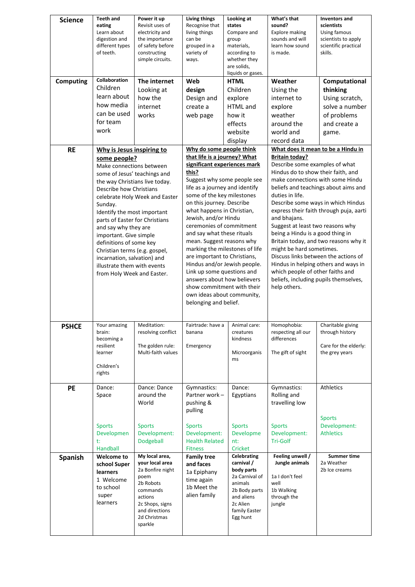| <b>Science</b>   | Teeth and                      | Power it up                        | Living things                                             | Looking at                   | What's that                                                       | <b>Inventors and</b>                        |  |
|------------------|--------------------------------|------------------------------------|-----------------------------------------------------------|------------------------------|-------------------------------------------------------------------|---------------------------------------------|--|
|                  | eating                         | Revisit uses of                    | Recognise that                                            | states                       | sound?                                                            | scientists                                  |  |
|                  | Learn about<br>digestion and   | electricity and                    | living things                                             | Compare and                  | <b>Explore making</b><br>sounds and will                          | Using famous                                |  |
|                  | different types                | the importance<br>of safety before | can be<br>grouped in a                                    | group<br>materials,          | learn how sound                                                   | scientists to apply<br>scientific practical |  |
|                  | of teeth.                      | constructing                       | variety of                                                | according to                 | is made.                                                          | skills.                                     |  |
|                  |                                | simple circuits.                   | ways.                                                     | whether they                 |                                                                   |                                             |  |
|                  |                                |                                    |                                                           | are solids,                  |                                                                   |                                             |  |
|                  |                                |                                    |                                                           | liquids or gases.            |                                                                   |                                             |  |
| <b>Computing</b> | Collaboration                  | The internet                       | Web                                                       | <b>HTML</b>                  | Weather                                                           | Computational                               |  |
|                  | Children                       | Looking at                         | design                                                    | Children                     | Using the                                                         | thinking                                    |  |
|                  | learn about                    | how the                            | Design and                                                | explore                      | internet to                                                       | Using scratch,                              |  |
|                  | how media                      | internet                           | create a                                                  | HTML and                     | explore                                                           | solve a number                              |  |
|                  | can be used                    | works                              | web page                                                  | how it                       | weather                                                           | of problems                                 |  |
|                  | for team                       |                                    |                                                           | effects                      | around the                                                        | and create a                                |  |
|                  | work                           |                                    |                                                           | website                      | world and                                                         |                                             |  |
|                  |                                |                                    |                                                           |                              |                                                                   | game.                                       |  |
|                  |                                |                                    |                                                           | display                      | record data                                                       |                                             |  |
| <b>RE</b>        | Why is Jesus inspiring to      |                                    | Why do some people think                                  |                              | What does it mean to be a Hindu in                                |                                             |  |
|                  | some people?                   |                                    | that life is a journey? What                              |                              | <b>Britain today?</b>                                             |                                             |  |
|                  | Make connections between       |                                    | significant experiences mark                              |                              | Describe some examples of what                                    |                                             |  |
|                  | some of Jesus' teachings and   |                                    | this?                                                     |                              | Hindus do to show their faith, and                                |                                             |  |
|                  |                                | the way Christians live today.     | Suggest why some people see                               |                              | make connections with some Hindu                                  |                                             |  |
|                  | Describe how Christians        |                                    | life as a journey and identify                            |                              | beliefs and teachings about aims and                              |                                             |  |
|                  |                                | celebrate Holy Week and Easter     | some of the key milestones                                |                              | duties in life.                                                   |                                             |  |
|                  | Sunday.                        |                                    | on this journey. Describe                                 |                              | Describe some ways in which Hindus                                |                                             |  |
|                  | Identify the most important    |                                    | what happens in Christian,                                |                              | express their faith through puja, aarti                           |                                             |  |
|                  | parts of Easter for Christians |                                    | Jewish, and/or Hindu<br>ceremonies of commitment          |                              | and bhajans.                                                      |                                             |  |
|                  | and say why they are           |                                    |                                                           |                              | Suggest at least two reasons why                                  |                                             |  |
|                  | important. Give simple         |                                    | and say what these rituals<br>mean. Suggest reasons why   |                              | being a Hindu is a good thing in                                  |                                             |  |
|                  | definitions of some key        |                                    |                                                           |                              | Britain today, and two reasons why it<br>might be hard sometimes. |                                             |  |
|                  | Christian terms (e.g. gospel,  |                                    | marking the milestones of life                            |                              | Discuss links between the actions of                              |                                             |  |
|                  | incarnation, salvation) and    |                                    |                                                           | are important to Christians, |                                                                   | Hindus in helping others and ways in        |  |
|                  | illustrate them with events    |                                    | Hindus and/or Jewish people.                              |                              | which people of other faiths and                                  |                                             |  |
|                  | from Holy Week and Easter.     |                                    | Link up some questions and<br>answers about how believers |                              | beliefs, including pupils themselves,                             |                                             |  |
|                  |                                |                                    | show commitment with their<br>own ideas about community,  |                              | help others.                                                      |                                             |  |
|                  |                                |                                    |                                                           |                              |                                                                   |                                             |  |
|                  |                                |                                    |                                                           |                              |                                                                   |                                             |  |
|                  |                                |                                    | belonging and belief.                                     |                              |                                                                   |                                             |  |
|                  |                                |                                    |                                                           |                              |                                                                   |                                             |  |
|                  | Your amazing                   | Meditation:                        | Fairtrade: have a                                         | Animal care:                 | Homophobia:                                                       | Charitable giving                           |  |
| <b>PSHCE</b>     | brain:                         | resolving conflict                 | banana                                                    | creatures                    | respecting all our                                                | through history                             |  |
|                  | becoming a                     |                                    |                                                           | kindness                     | differences                                                       |                                             |  |
|                  | resilient                      | The golden rule:                   | Emergency                                                 |                              |                                                                   | Care for the elderly:                       |  |
|                  | learner                        | Multi-faith values                 |                                                           | Microorganis                 | The gift of sight                                                 | the grey years                              |  |
|                  |                                |                                    |                                                           | ms                           |                                                                   |                                             |  |
|                  | Children's                     |                                    |                                                           |                              |                                                                   |                                             |  |
|                  | rights                         |                                    |                                                           |                              |                                                                   |                                             |  |
| <b>PE</b>        | Dance:                         | Dance: Dance                       | Gymnastics:                                               | Dance:                       | Gymnastics:                                                       | Athletics                                   |  |
|                  | Space                          | around the                         | Partner work -                                            | Egyptians                    | Rolling and                                                       |                                             |  |
|                  |                                | World                              | pushing &                                                 |                              | travelling low                                                    |                                             |  |
|                  |                                |                                    | pulling                                                   |                              |                                                                   |                                             |  |
|                  |                                |                                    |                                                           |                              |                                                                   | <b>Sports</b>                               |  |
|                  | <b>Sports</b>                  | <b>Sports</b>                      | <b>Sports</b>                                             | <b>Sports</b>                | <b>Sports</b>                                                     | Development:                                |  |
|                  | Developmen                     | Development:                       | Development:                                              | Developme                    | Development:                                                      | <b>Athletics</b>                            |  |
|                  | t:                             | Dodgeball                          | <b>Health Related</b>                                     | nt:                          | <b>Tri-Golf</b>                                                   |                                             |  |
|                  | Handball                       |                                    | <b>Fitness</b>                                            | Cricket                      |                                                                   |                                             |  |
| <b>Spanish</b>   | <b>Welcome to</b>              | My local area,                     | <b>Family tree</b>                                        | Celebrating                  | Feeling unwell /                                                  | <b>Summer time</b>                          |  |
|                  | school Super                   | your local area                    | and faces                                                 | carnival /                   | Jungle animals                                                    | 2a Weather                                  |  |
|                  | learners                       | 2a Bonfire night                   | 1a Epiphany                                               | body parts                   |                                                                   | 2b Ice creams                               |  |
|                  | 1 Welcome                      | poem                               | time again                                                | 2a Carnival of               | 1a I don't feel                                                   |                                             |  |
|                  | to school                      | 2b Robots                          | 1b Meet the                                               | animals                      | well                                                              |                                             |  |
|                  | super                          | commands                           | alien family                                              | 2b Body parts                | 1b Walking                                                        |                                             |  |
|                  | learners                       | actions                            |                                                           | and aliens                   | through the                                                       |                                             |  |
|                  |                                | 2c Shops, signs                    |                                                           | 2c Alien                     | jungle                                                            |                                             |  |
|                  |                                |                                    |                                                           |                              |                                                                   |                                             |  |
|                  |                                | and directions                     |                                                           | family Easter                |                                                                   |                                             |  |
|                  |                                | 2d Christmas<br>sparkle            |                                                           | Egg hunt                     |                                                                   |                                             |  |